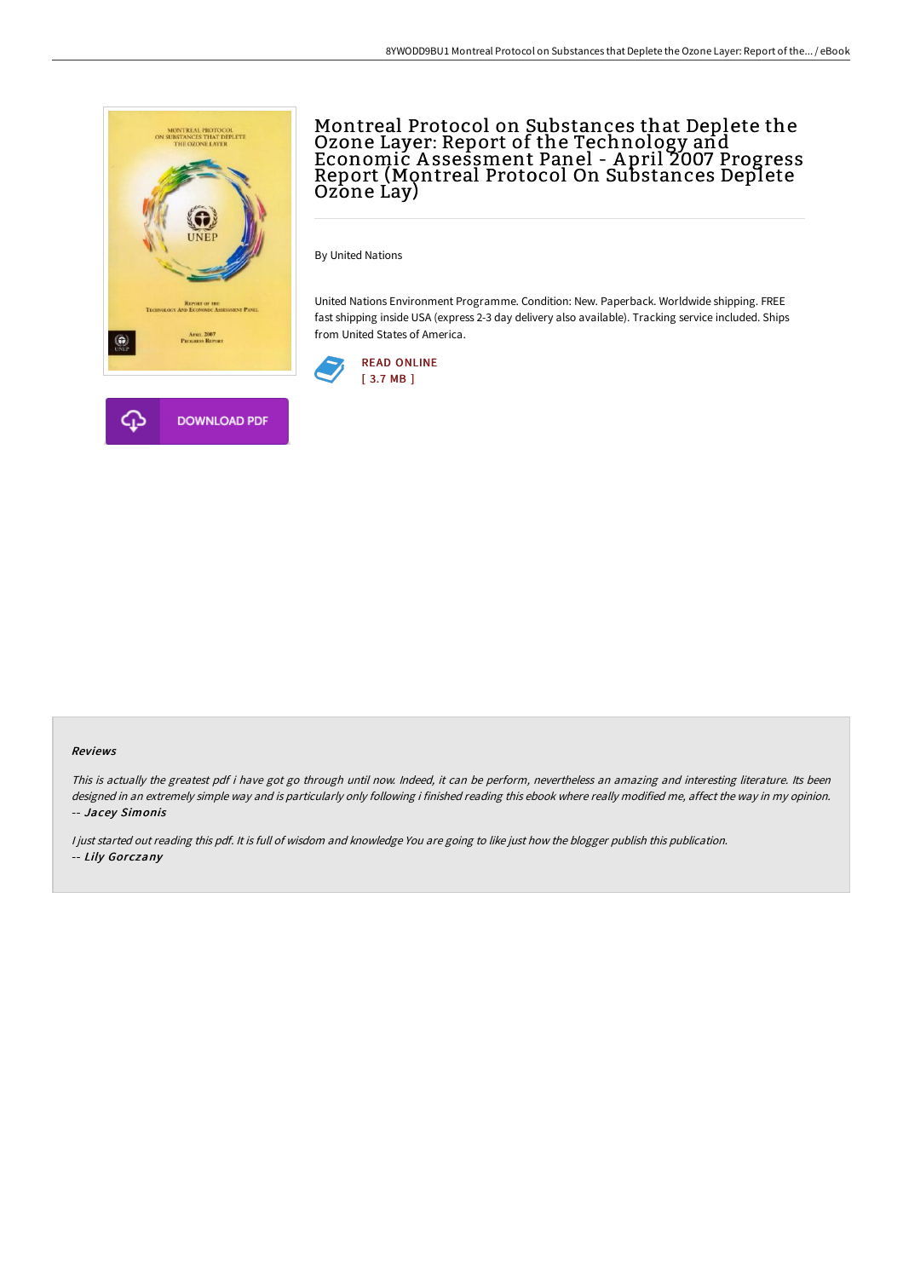

# Montreal Protocol on Substances that Deplete the Ozone Layer: Report of the Technology and Economic A ssessment Panel - A pril 2007 Progress Report (Montreal Protocol On Substances Deplete Ozone Lay)

By United Nations

United Nations Environment Programme. Condition: New. Paperback. Worldwide shipping. FREE fast shipping inside USA (express 2-3 day delivery also available). Tracking service included. Ships from United States of America.



#### Reviews

This is actually the greatest pdf i have got go through until now. Indeed, it can be perform, nevertheless an amazing and interesting literature. Its been designed in an extremely simple way and is particularly only following i finished reading this ebook where really modified me, affect the way in my opinion. -- Jacey Simonis

<sup>I</sup> just started out reading this pdf. It is full of wisdom and knowledge You are going to like just how the blogger publish this publication. -- Lily Gorczany